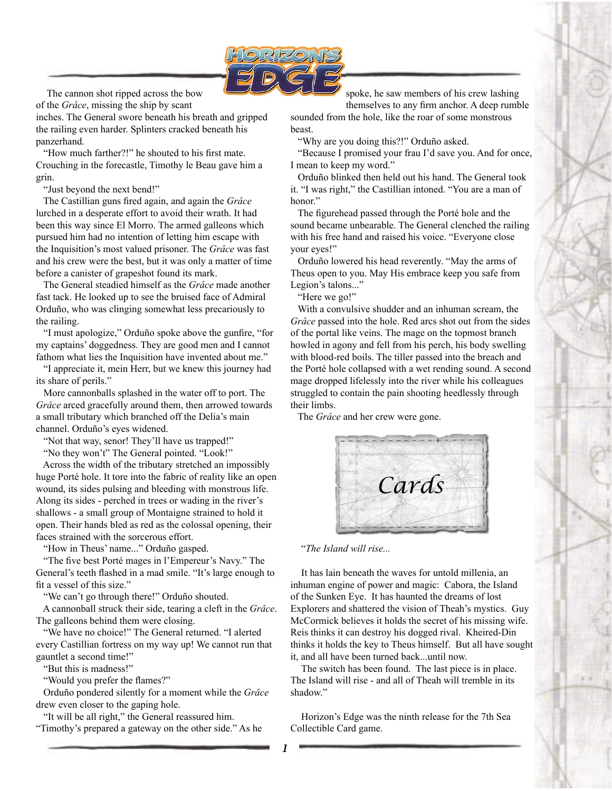

The cannon shot ripped across the bow of the *Grâce*, missing the ship by scant

inches. The General swore beneath his breath and gripped the railing even harder. Splinters cracked beneath his panzerhand.

 "How much farther?!" he shouted to his first mate. Crouching in the forecastle, Timothy le Beau gave him a grin.

"Just beyond the next bend!"

 The Castillian guns fired again, and again the *Grâce* lurched in a desperate effort to avoid their wrath. It had been this way since El Morro. The armed galleons which pursued him had no intention of letting him escape with the Inquisition's most valued prisoner. The *Grâce* was fast and his crew were the best, but it was only a matter of time before a canister of grapeshot found its mark.

 The General steadied himself as the *Grâce* made another fast tack. He looked up to see the bruised face of Admiral Orduño, who was clinging somewhat less precariously to the railing.

 "I must apologize," Orduño spoke above the gunfire, "for my captains' doggedness. They are good men and I cannot fathom what lies the Inquisition have invented about me."

 "I appreciate it, mein Herr, but we knew this journey had its share of perils."

 More cannonballs splashed in the water off to port. The *Grâce* arced gracefully around them, then arrowed towards a small tributary which branched off the Delia's main channel. Orduño's eyes widened.

"Not that way, senor! They'll have us trapped!"

"No they won't" The General pointed. "Look!"

 Across the width of the tributary stretched an impossibly huge Porté hole. It tore into the fabric of reality like an open wound, its sides pulsing and bleeding with monstrous life. Along its sides - perched in trees or wading in the river's shallows - a small group of Montaigne strained to hold it open. Their hands bled as red as the colossal opening, their faces strained with the sorcerous effort.

"How in Theus' name..." Orduño gasped.

 "The five best Porté mages in l'Empereur's Navy." The General's teeth flashed in a mad smile. "It's large enough to fit a vessel of this size."

"We can't go through there!" Orduño shouted.

 A cannonball struck their side, tearing a cleft in the *Grâce*. The galleons behind them were closing.

 "We have no choice!" The General returned. "I alerted every Castillian fortress on my way up! We cannot run that gauntlet a second time!"

"But this is madness!"

"Would you prefer the flames?"

 Orduño pondered silently for a moment while the *Grâce* drew even closer to the gaping hole.

"It will be all right," the General reassured him.

"Timothy's prepared a gateway on the other side." As he

spoke, he saw members of his crew lashing

themselves to any firm anchor. A deep rumble sounded from the hole, like the roar of some monstrous beast.

"Why are you doing this?!" Orduño asked.

 "Because I promised your frau I'd save you. And for once, I mean to keep my word."

 Orduño blinked then held out his hand. The General took it. "I was right," the Castillian intoned. "You are a man of honor<sup>"</sup>

 The figurehead passed through the Porté hole and the sound became unbearable. The General clenched the railing with his free hand and raised his voice. "Everyone close your eyes!"

 Orduño lowered his head reverently. "May the arms of Theus open to you. May His embrace keep you safe from Legion's talons..."

"Here we go!"

 With a convulsive shudder and an inhuman scream, the *Grâce* passed into the hole. Red arcs shot out from the sides of the portal like veins. The mage on the topmost branch howled in agony and fell from his perch, his body swelling with blood-red boils. The tiller passed into the breach and the Porté hole collapsed with a wet rending sound. A second mage dropped lifelessly into the river while his colleagues struggled to contain the pain shooting heedlessly through their limbs.

The *Grâce* and her crew were gone.



## "*The Island will rise...*

It has lain beneath the waves for untold millenia, an inhuman engine of power and magic: Cabora, the Island of the Sunken Eye. It has haunted the dreams of lost Explorers and shattered the vision of Theah's mystics. Guy McCormick believes it holds the secret of his missing wife. Reis thinks it can destroy his dogged rival. Kheired-Din thinks it holds the key to Theus himself. But all have sought it, and all have been turned back...until now.

The switch has been found. The last piece is in place. The Island will rise - and all of Theah will tremble in its shadow."

Horizon's Edge was the ninth release for the 7th Sea Collectible Card game.

*1*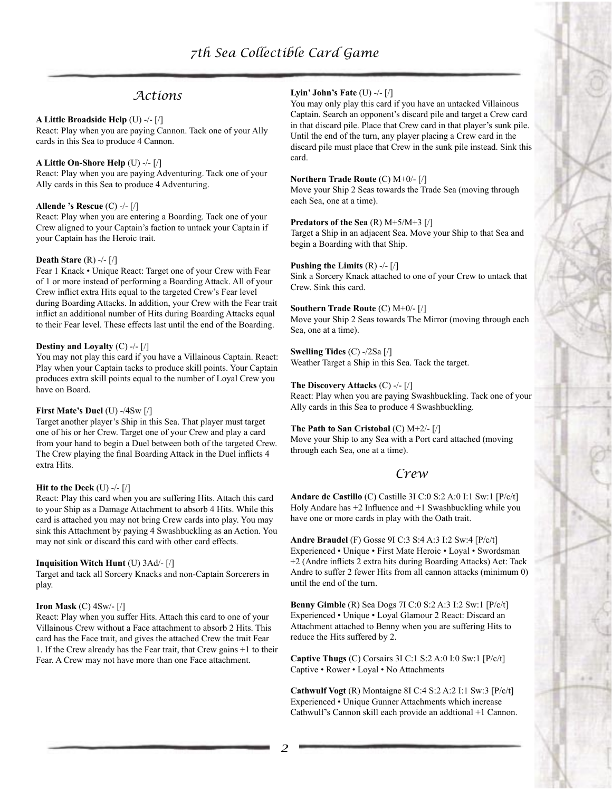## *Actions*

#### **A Little Broadside Help** (U) -/- [/]

React: Play when you are paying Cannon. Tack one of your Ally cards in this Sea to produce 4 Cannon.

#### **A Little On-Shore Help** (U) -/- [/]

React: Play when you are paying Adventuring. Tack one of your Ally cards in this Sea to produce 4 Adventuring.

## **Allende 's Rescue** (C) -/- [/]

React: Play when you are entering a Boarding. Tack one of your Crew aligned to your Captain's faction to untack your Captain if your Captain has the Heroic trait.

#### **Death Stare** (R) -/- [/]

Fear 1 Knack • Unique React: Target one of your Crew with Fear of 1 or more instead of performing a Boarding Attack. All of your Crew inflict extra Hits equal to the targeted Crew's Fear level during Boarding Attacks. In addition, your Crew with the Fear trait inflict an additional number of Hits during Boarding Attacks equal to their Fear level. These effects last until the end of the Boarding.

#### **Destiny and Loyalty** (C) -/- [/]

You may not play this card if you have a Villainous Captain. React: Play when your Captain tacks to produce skill points. Your Captain produces extra skill points equal to the number of Loyal Crew you have on Board.

#### **First Mate's Duel** (U) -/4Sw [/]

Target another player's Ship in this Sea. That player must target one of his or her Crew. Target one of your Crew and play a card from your hand to begin a Duel between both of the targeted Crew. The Crew playing the final Boarding Attack in the Duel inflicts 4 extra Hits.

#### **Hit to the Deck** (U) -/- [/]

React: Play this card when you are suffering Hits. Attach this card to your Ship as a Damage Attachment to absorb 4 Hits. While this card is attached you may not bring Crew cards into play. You may sink this Attachment by paying 4 Swashbuckling as an Action. You may not sink or discard this card with other card effects.

#### **Inquisition Witch Hunt** (U) 3Ad/- [/]

Target and tack all Sorcery Knacks and non-Captain Sorcerers in play.

#### **Iron Mask** (C) 4Sw/- [/]

React: Play when you suffer Hits. Attach this card to one of your Villainous Crew without a Face attachment to absorb 2 Hits. This card has the Face trait, and gives the attached Crew the trait Fear 1. If the Crew already has the Fear trait, that Crew gains +1 to their Fear. A Crew may not have more than one Face attachment.

## **Lyin' John's Fate** (U) -/- [/]

You may only play this card if you have an untacked Villainous Captain. Search an opponent's discard pile and target a Crew card in that discard pile. Place that Crew card in that player's sunk pile. Until the end of the turn, any player placing a Crew card in the discard pile must place that Crew in the sunk pile instead. Sink this card.

#### **Northern Trade Route** (C) M+0/- [/]

Move your Ship 2 Seas towards the Trade Sea (moving through each Sea, one at a time).

#### **Predators of the Sea** (R) M+5/M+3 [/]

Target a Ship in an adjacent Sea. Move your Ship to that Sea and begin a Boarding with that Ship.

#### **Pushing the Limits** (R) -/- [/]

Sink a Sorcery Knack attached to one of your Crew to untack that Crew. Sink this card.

#### **Southern Trade Route** (C) M+0/- [/]

Move your Ship 2 Seas towards The Mirror (moving through each Sea, one at a time).

#### **Swelling Tides** (C) -/2Sa [/] Weather Target a Ship in this Sea. Tack the target.

#### **The Discovery Attacks** (C) -/- [/]

React: Play when you are paying Swashbuckling. Tack one of your Ally cards in this Sea to produce 4 Swashbuckling.

#### **The Path to San Cristobal** (C) M+2/- [/] Move your Ship to any Sea with a Port card attached (moving through each Sea, one at a time).

## *Crew*

**Andare de Castillo** (C) Castille 3I C:0 S:2 A:0 I:1 Sw:1 [P/c/t] Holy Andare has +2 Influence and +1 Swashbuckling while you have one or more cards in play with the Oath trait.

**Andre Braudel** (F) Gosse 9I C:3 S:4 A:3 I:2 Sw:4 [P/c/t] Experienced • Unique • First Mate Heroic • Loyal • Swordsman +2 (Andre inflicts 2 extra hits during Boarding Attacks) Act: Tack Andre to suffer 2 fewer Hits from all cannon attacks (minimum 0) until the end of the turn.

**Benny Gimble** (R) Sea Dogs 7I C:0 S:2 A:3 I:2 Sw:1 [P/c/t] Experienced • Unique • Loyal Glamour 2 React: Discard an Attachment attached to Benny when you are suffering Hits to reduce the Hits suffered by 2.

**Captive Thugs** (C) Corsairs 3I C:1 S:2 A:0 I:0 Sw:1 [P/c/t] Captive • Rower • Loyal • No Attachments

**Cathwulf Vogt** (R) Montaigne 8I C:4 S:2 A:2 I:1 Sw:3 [P/c/t] Experienced • Unique Gunner Attachments which increase Cathwulf's Cannon skill each provide an addtional +1 Cannon.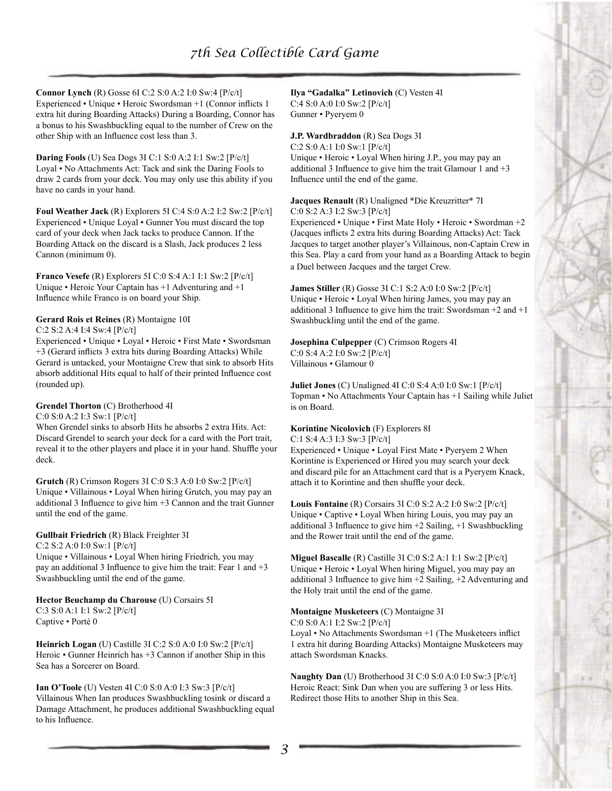**Connor Lynch** (R) Gosse 6I C:2 S:0 A:2 I:0 Sw:4 [P/c/t] Experienced • Unique • Heroic Swordsman +1 (Connor inflicts 1 extra hit during Boarding Attacks) During a Boarding, Connor has a bonus to his Swashbuckling equal to the number of Crew on the other Ship with an Influence cost less than 3.

**Daring Fools** (U) Sea Dogs 3I C:1 S:0 A:2 I:1 Sw:2 [P/c/t] Loyal • No Attachments Act: Tack and sink the Daring Fools to draw 2 cards from your deck. You may only use this ability if you have no cards in your hand.

**Foul Weather Jack** (R) Explorers 5I C:4 S:0 A:2 I:2 Sw:2 [P/c/t] Experienced • Unique Loyal • Gunner You must discard the top card of your deck when Jack tacks to produce Cannon. If the Boarding Attack on the discard is a Slash, Jack produces 2 less Cannon (minimum 0).

**Franco Vesefe** (R) Explorers 5I C:0 S:4 A:1 I:1 Sw:2 [P/c/t] Unique • Heroic Your Captain has +1 Adventuring and +1 Influence while Franco is on board your Ship.

## **Gerard Rois et Reines** (R) Montaigne 10I

C:2 S:2 A:4 I:4 Sw:4 [P/c/t]

Experienced • Unique • Loyal • Heroic • First Mate • Swordsman +3 (Gerard inflicts 3 extra hits during Boarding Attacks) While Gerard is untacked, your Montaigne Crew that sink to absorb Hits absorb additional Hits equal to half of their printed Influence cost (rounded up).

## **Grendel Thorton** (C) Brotherhood 4I

C:0 S:0 A:2 I:3 Sw:1 [P/c/t]

When Grendel sinks to absorb Hits he absorbs 2 extra Hits. Act: Discard Grendel to search your deck for a card with the Port trait, reveal it to the other players and place it in your hand. Shuffle your deck.

**Grutch** (R) Crimson Rogers 3I C:0 S:3 A:0 I:0 Sw:2 [P/c/t] Unique • Villainous • Loyal When hiring Grutch, you may pay an additional 3 Influence to give him +3 Cannon and the trait Gunner until the end of the game.

## **Gullbait Friedrich** (R) Black Freighter 3I

C:2 S:2 A:0 I:0 Sw:1 [P/c/t]

Unique • Villainous • Loyal When hiring Friedrich, you may pay an additional 3 Influence to give him the trait: Fear 1 and +3 Swashbuckling until the end of the game.

## **Hector Beuchamp du Charouse** (U) Corsairs 5I

C:3 S:0 A:1 I:1 Sw:2 [P/c/t] Captive • Porté 0

**Heinrich Logan** (U) Castille 3I C:2 S:0 A:0 I:0 Sw:2 [P/c/t] Heroic • Gunner Heinrich has +3 Cannon if another Ship in this Sea has a Sorcerer on Board.

**Ian O'Toole** (U) Vesten 4I C:0 S:0 A:0 I:3 Sw:3 [P/c/t] Villainous When Ian produces Swashbuckling tosink or discard a Damage Attachment, he produces additional Swashbuckling equal to his Influence.

**Ilya "Gadalka" Letinovich** (C) Vesten 4I C:4 S:0 A:0 I:0 Sw:2 [P/c/t] Gunner • Pyeryem 0

## **J.P. Wardbraddon** (R) Sea Dogs 3I C:2 S:0 A:1 I:0 Sw:1 [P/c/t] Unique • Heroic • Loyal When hiring J.P., you may pay an additional 3 Influence to give him the trait Glamour 1 and  $+3$ Influence until the end of the game.

**Jacques Renault** (R) Unaligned \*Die Kreuzritter\* 7I C:0 S:2 A:3 I:2 Sw:3 [P/c/t]

Experienced • Unique • First Mate Holy • Heroic • Swordman +2 (Jacques inflicts 2 extra hits during Boarding Attacks) Act: Tack Jacques to target another player's Villainous, non-Captain Crew in this Sea. Play a card from your hand as a Boarding Attack to begin a Duel between Jacques and the target Crew.

**James Stiller** (R) Gosse 3I C:1 S:2 A:0 I:0 Sw:2 [P/c/t] Unique • Heroic • Loyal When hiring James, you may pay an additional 3 Influence to give him the trait: Swordsman  $+2$  and  $+1$ Swashbuckling until the end of the game.

#### **Josephina Culpepper** (C) Crimson Rogers 4I C:0 S:4 A:2 I:0 Sw:2 [P/c/t] Villainous • Glamour 0

**Juliet Jones** (C) Unaligned 4I C:0 S:4 A:0 I:0 Sw:1 [P/c/t] Topman • No Attachments Your Captain has +1 Sailing while Juliet is on Board.

## **Korintine Nicolovich** (F) Explorers 8I

C:1 S:4 A:3 I:3 Sw:3 [P/c/t] Experienced • Unique • Loyal First Mate • Pyeryem 2 When Korintine is Experienced or Hired you may search your deck and discard pile for an Attachment card that is a Pyeryem Knack, attach it to Korintine and then shuffle your deck.

**Louis Fontaine** (R) Corsairs 3I C:0 S:2 A:2 I:0 Sw:2 [P/c/t] Unique • Captive • Loyal When hiring Louis, you may pay an additional 3 Influence to give him +2 Sailing, +1 Swashbuckling and the Rower trait until the end of the game.

**Miguel Bascalle** (R) Castille 3I C:0 S:2 A:1 I:1 Sw:2 [P/c/t] Unique • Heroic • Loyal When hiring Miguel, you may pay an additional 3 Influence to give him +2 Sailing, +2 Adventuring and the Holy trait until the end of the game.

## **Montaigne Musketeers** (C) Montaigne 3I

C:0 S:0 A:1 I:2 Sw:2 [P/c/t]

Loyal • No Attachments Swordsman +1 (The Musketeers inflict 1 extra hit during Boarding Attacks) Montaigne Musketeers may attach Swordsman Knacks.

**Naughty Dan** (U) Brotherhood 3I C:0 S:0 A:0 I:0 Sw:3 [P/c/t] Heroic React: Sink Dan when you are suffering 3 or less Hits. Redirect those Hits to another Ship in this Sea.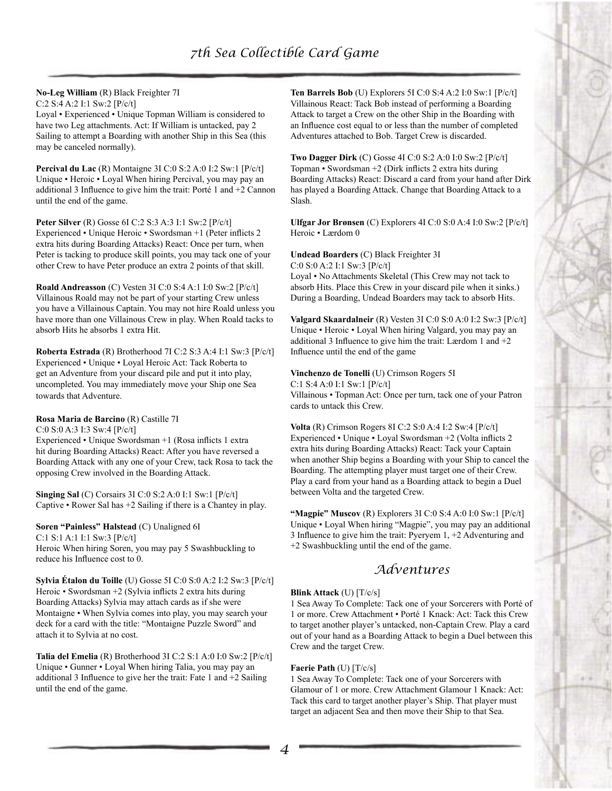# **No-Leg William** (R) Black Freighter 7I

C:2 S:4 A:2 I:1 Sw:2 [P/c/t]

Loyal • Experienced • Unique Topman William is considered to have two Leg attachments. Act: If William is untacked, pay 2 Sailing to attempt a Boarding with another Ship in this Sea (this may be canceled normally).

**Percival du Lac** (R) Montaigne 3I C:0 S:2 A:0 I:2 Sw:1 [P/c/t] Unique • Heroic • Loyal When hiring Percival, you may pay an additional 3 Influence to give him the trait: Porté 1 and +2 Cannon until the end of the game.

**Peter Silver** (R) Gosse 6I C:2 S:3 A:3 I:1 Sw:2 [P/c/t] Experienced • Unique Heroic • Swordsman +1 (Peter inflicts 2 extra hits during Boarding Attacks) React: Once per turn, when Peter is tacking to produce skill points, you may tack one of your other Crew to have Peter produce an extra 2 points of that skill.

**Roald Andreasson** (C) Vesten 3I C:0 S:4 A:1 I:0 Sw:2 [P/c/t] Villainous Roald may not be part of your starting Crew unless you have a Villainous Captain. You may not hire Roald unless you have more than one Villainous Crew in play. When Roald tacks to absorb Hits he absorbs 1 extra Hit.

**Roberta Estrada** (R) Brotherhood 7I C:2 S:3 A:4 I:1 Sw:3 [P/c/t] Experienced • Unique • Loyal Heroic Act: Tack Roberta to get an Adventure from your discard pile and put it into play, uncompleted. You may immediately move your Ship one Sea towards that Adventure.

## **Rosa Maria de Barcino** (R) Castille 7I

C:0 S:0 A:3 I:3 Sw:4 [P/c/t]

Experienced • Unique Swordsman +1 (Rosa inflicts 1 extra hit during Boarding Attacks) React: After you have reversed a Boarding Attack with any one of your Crew, tack Rosa to tack the opposing Crew involved in the Boarding Attack.

**Singing Sal** (C) Corsairs 3I C:0 S:2 A:0 I:1 Sw:1 [P/c/t] Captive • Rower Sal has +2 Sailing if there is a Chantey in play.

## **Soren "Painless" Halstead** (C) Unaligned 6I

C:1 S:1 A:1 I:1 Sw:3 [P/c/t] Heroic When hiring Soren, you may pay 5 Swashbuckling to reduce his Influence cost to 0.

**Sylvia Étalon du Toille** (U) Gosse 5I C:0 S:0 A:2 I:2 Sw:3 [P/c/t] Heroic • Swordsman +2 (Sylvia inflicts 2 extra hits during Boarding Attacks) Sylvia may attach cards as if she were Montaigne • When Sylvia comes into play, you may search your deck for a card with the title: "Montaigne Puzzle Sword" and attach it to Sylvia at no cost.

**Talia del Emelia** (R) Brotherhood 3I C:2 S:1 A:0 I:0 Sw:2 [P/c/t] Unique • Gunner • Loyal When hiring Talia, you may pay an additional 3 Influence to give her the trait: Fate 1 and +2 Sailing until the end of the game.

**Ten Barrels Bob** (U) Explorers 5I C:0 S:4 A:2 I:0 Sw:1 [P/c/t] Villainous React: Tack Bob instead of performing a Boarding Attack to target a Crew on the other Ship in the Boarding with an Influence cost equal to or less than the number of completed Adventures attached to Bob. Target Crew is discarded.

**Two Dagger Dirk** (C) Gosse 4I C:0 S:2 A:0 I:0 Sw:2 [P/c/t] Topman • Swordsman +2 (Dirk inflicts 2 extra hits during Boarding Attacks) React: Discard a card from your hand after Dirk has played a Boarding Attack. Change that Boarding Attack to a Slash.

**Ulfgar Jor Brønsen** (C) Explorers 4I C:0 S:0 A:4 I:0 Sw:2 [P/c/t] Heroic • Lærdom 0

**Undead Boarders** (C) Black Freighter 3I C:0 S:0 A:2 I:1 Sw:3 [P/c/t] Loyal • No Attachments Skeletal (This Crew may not tack to absorb Hits. Place this Crew in your discard pile when it sinks.) During a Boarding, Undead Boarders may tack to absorb Hits.

**Valgard Skaardalneir** (R) Vesten 3I C:0 S:0 A:0 I:2 Sw:3 [P/c/t] Unique • Heroic • Loyal When hiring Valgard, you may pay an additional 3 Influence to give him the trait: Lærdom 1 and +2 Influence until the end of the game

#### **Vinchenzo de Tonelli** (U) Crimson Rogers 5I

C:1 S:4 A:0 I:1 Sw:1 [P/c/t] Villainous • Topman Act: Once per turn, tack one of your Patron cards to untack this Crew.

**Volta** (R) Crimson Rogers 8I C:2 S:0 A:4 I:2 Sw:4 [P/c/t] Experienced • Unique • Loyal Swordsman +2 (Volta inflicts 2 extra hits during Boarding Attacks) React: Tack your Captain when another Ship begins a Boarding with your Ship to cancel the Boarding. The attempting player must target one of their Crew. Play a card from your hand as a Boarding attack to begin a Duel between Volta and the targeted Crew.

**"Magpie" Muscov** (R) Explorers 3I C:0 S:4 A:0 I:0 Sw:1 [P/c/t] Unique • Loyal When hiring "Magpie", you may pay an additional 3 Influence to give him the trait: Pyeryem 1, +2 Adventuring and +2 Swashbuckling until the end of the game.

## *Adventures*

## **Blink Attack** (U) [T/c/s]

1 Sea Away To Complete: Tack one of your Sorcerers with Porté of 1 or more. Crew Attachment • Porté 1 Knack: Act: Tack this Crew to target another player's untacked, non-Captain Crew. Play a card out of your hand as a Boarding Attack to begin a Duel between this Crew and the target Crew.

## **Faerie Path** (U) [T/c/s]

1 Sea Away To Complete: Tack one of your Sorcerers with Glamour of 1 or more. Crew Attachment Glamour 1 Knack: Act: Tack this card to target another player's Ship. That player must target an adjacent Sea and then move their Ship to that Sea.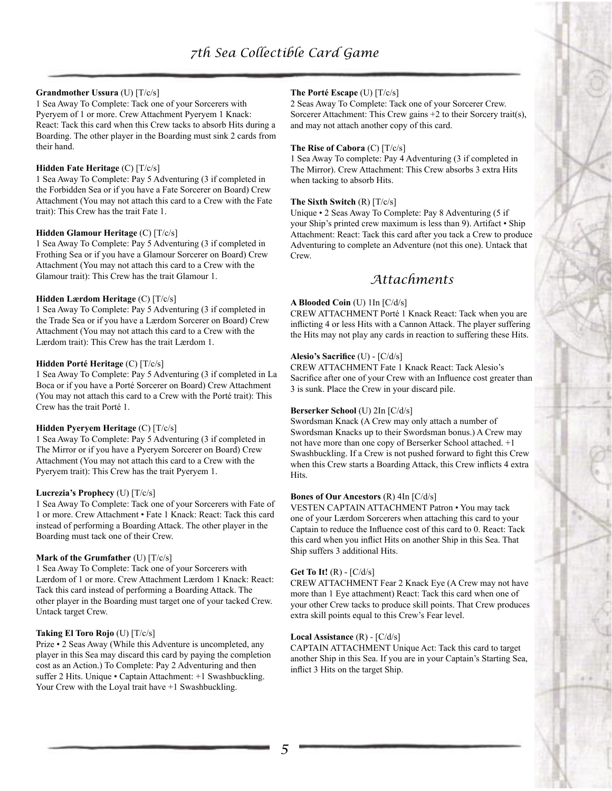## **Grandmother Ussura** (U) [T/c/s]

1 Sea Away To Complete: Tack one of your Sorcerers with Pyeryem of 1 or more. Crew Attachment Pyeryem 1 Knack: React: Tack this card when this Crew tacks to absorb Hits during a Boarding. The other player in the Boarding must sink 2 cards from their hand.

## **Hidden Fate Heritage** (C) [T/c/s]

1 Sea Away To Complete: Pay 5 Adventuring (3 if completed in the Forbidden Sea or if you have a Fate Sorcerer on Board) Crew Attachment (You may not attach this card to a Crew with the Fate trait): This Crew has the trait Fate 1.

## **Hidden Glamour Heritage** (C) [T/c/s]

1 Sea Away To Complete: Pay 5 Adventuring (3 if completed in Frothing Sea or if you have a Glamour Sorcerer on Board) Crew Attachment (You may not attach this card to a Crew with the Glamour trait): This Crew has the trait Glamour 1.

## **Hidden Lærdom Heritage** (C) [T/c/s]

1 Sea Away To Complete: Pay 5 Adventuring (3 if completed in the Trade Sea or if you have a Lærdom Sorcerer on Board) Crew Attachment (You may not attach this card to a Crew with the Lærdom trait): This Crew has the trait Lærdom 1.

## **Hidden Porté Heritage** (C) [T/c/s]

1 Sea Away To Complete: Pay 5 Adventuring (3 if completed in La Boca or if you have a Porté Sorcerer on Board) Crew Attachment (You may not attach this card to a Crew with the Porté trait): This Crew has the trait Porté 1.

## **Hidden Pyeryem Heritage** (C) [T/c/s]

1 Sea Away To Complete: Pay 5 Adventuring (3 if completed in The Mirror or if you have a Pyeryem Sorcerer on Board) Crew Attachment (You may not attach this card to a Crew with the Pyeryem trait): This Crew has the trait Pyeryem 1.

## **Lucrezia's Prophecy** (U) [T/c/s]

1 Sea Away To Complete: Tack one of your Sorcerers with Fate of 1 or more. Crew Attachment • Fate 1 Knack: React: Tack this card instead of performing a Boarding Attack. The other player in the Boarding must tack one of their Crew.

## **Mark of the Grumfather** (U) [T/c/s]

1 Sea Away To Complete: Tack one of your Sorcerers with Lærdom of 1 or more. Crew Attachment Lærdom 1 Knack: React: Tack this card instead of performing a Boarding Attack. The other player in the Boarding must target one of your tacked Crew. Untack target Crew.

## **Taking El Toro Rojo** (U) [T/c/s]

Prize • 2 Seas Away (While this Adventure is uncompleted, any player in this Sea may discard this card by paying the completion cost as an Action.) To Complete: Pay 2 Adventuring and then suffer 2 Hits. Unique • Captain Attachment: +1 Swashbuckling. Your Crew with the Loyal trait have  $+1$  Swashbuckling.

## **The Porté Escape** (U) [T/c/s]

2 Seas Away To Complete: Tack one of your Sorcerer Crew. Sorcerer Attachment: This Crew gains +2 to their Sorcery trait(s), and may not attach another copy of this card.

#### **The Rise of Cabora** (C) [T/c/s]

1 Sea Away To complete: Pay 4 Adventuring (3 if completed in The Mirror). Crew Attachment: This Crew absorbs 3 extra Hits when tacking to absorb Hits.

## **The Sixth Switch** (R) [T/c/s]

Unique • 2 Seas Away To Complete: Pay 8 Adventuring (5 if your Ship's printed crew maximum is less than 9). Artifact • Ship Attachment: React: Tack this card after you tack a Crew to produce Adventuring to complete an Adventure (not this one). Untack that Crew.

# *Attachments*

## **A Blooded Coin** (U) 1In [C/d/s]

CREW ATTACHMENT Porté 1 Knack React: Tack when you are inflicting 4 or less Hits with a Cannon Attack. The player suffering the Hits may not play any cards in reaction to suffering these Hits.

## **Alesio's Sacrifice** (U) - [C/d/s]

CREW ATTACHMENT Fate 1 Knack React: Tack Alesio's Sacrifice after one of your Crew with an Influence cost greater than 3 is sunk. Place the Crew in your discard pile.

## **Berserker School** (U) 2In [C/d/s]

Swordsman Knack (A Crew may only attach a number of Swordsman Knacks up to their Swordsman bonus.) A Crew may not have more than one copy of Berserker School attached. +1 Swashbuckling. If a Crew is not pushed forward to fight this Crew when this Crew starts a Boarding Attack, this Crew inflicts 4 extra Hits.

## **Bones of Our Ancestors** (R) 4In [C/d/s]

VESTEN CAPTAIN ATTACHMENT Patron • You may tack one of your Lærdom Sorcerers when attaching this card to your Captain to reduce the Influence cost of this card to 0. React: Tack this card when you inflict Hits on another Ship in this Sea. That Ship suffers 3 additional Hits.

## **Get To It!** (R) - [C/d/s]

CREW ATTACHMENT Fear 2 Knack Eye (A Crew may not have more than 1 Eye attachment) React: Tack this card when one of your other Crew tacks to produce skill points. That Crew produces extra skill points equal to this Crew's Fear level.

## **Local Assistance** (R) - [C/d/s]

CAPTAIN ATTACHMENT Unique Act: Tack this card to target another Ship in this Sea. If you are in your Captain's Starting Sea, inflict 3 Hits on the target Ship.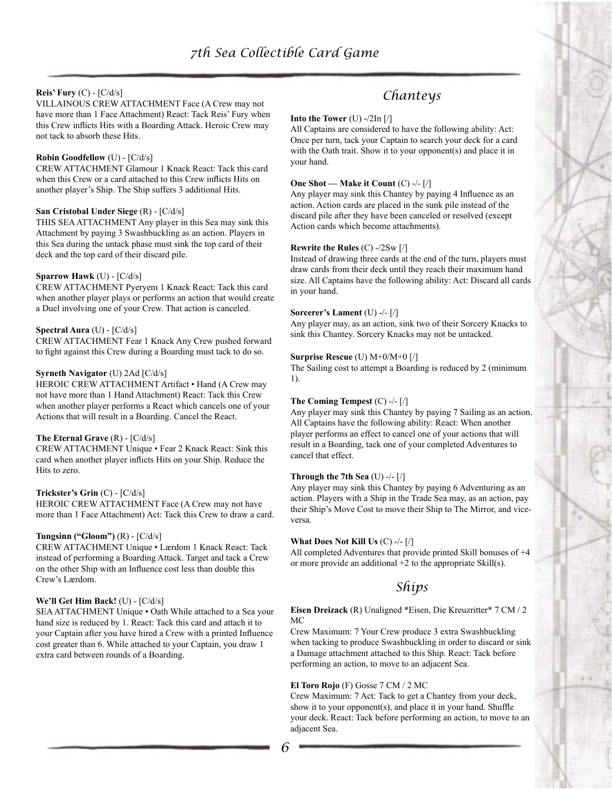## **Reis' Fury** (C) - [C/d/s]

VILLAINOUS CREW ATTACHMENT Face (A Crew may not have more than 1 Face Attachment) React: Tack Reis' Fury when this Crew inflicts Hits with a Boarding Attack. Heroic Crew may not tack to absorb these Hits.

#### **Robin Goodfellow** (U) - [C/d/s]

CREW ATTACHMENT Glamour 1 Knack React: Tack this card when this Crew or a card attached to this Crew inflicts Hits on another player's Ship. The Ship suffers 3 additional Hits.

#### **San Cristobal Under Siege** (R) - [C/d/s]

THIS SEA ATTACHMENT Any player in this Sea may sink this Attachment by paying 3 Swashbuckling as an action. Players in this Sea during the untack phase must sink the top card of their deck and the top card of their discard pile.

#### **Sparrow Hawk** (U) - [C/d/s]

CREW ATTACHMENT Pyeryem 1 Knack React: Tack this card when another player plays or performs an action that would create a Duel involving one of your Crew. That action is canceled.

## **Spectral Aura** (U) - [C/d/s]

CREW ATTACHMENT Fear 1 Knack Any Crew pushed forward to fight against this Crew during a Boarding must tack to do so.

#### **Syrneth Navigator** (U) 2Ad [C/d/s]

HEROIC CREW ATTACHMENT Artifact • Hand (A Crew may not have more than 1 Hand Attachment) React: Tack this Crew when another player performs a React which cancels one of your Actions that will result in a Boarding. Cancel the React.

#### **The Eternal Grave** (R) - [C/d/s]

CREW ATTACHMENT Unique • Fear 2 Knack React: Sink this card when another player inflicts Hits on your Ship. Reduce the Hits to zero.

#### **Trickster's Grin** (C) - [C/d/s]

HEROIC CREW ATTACHMENT Face (A Crew may not have more than 1 Face Attachment) Act: Tack this Crew to draw a card.

#### **Tungsinn ("Gloom")** (R) - [C/d/s]

CREW ATTACHMENT Unique • Lærdom 1 Knack React: Tack instead of performing a Boarding Attack. Target and tack a Crew on the other Ship with an Influence cost less than double this Crew's Lærdom.

#### **We'll Get Him Back!** (U) - [C/d/s]

SEA ATTACHMENT Unique • Oath While attached to a Sea your hand size is reduced by 1. React: Tack this card and attach it to your Captain after you have hired a Crew with a printed Influence cost greater than 6. While attached to your Captain, you draw 1 extra card between rounds of a Boarding.

# *Chanteys*

#### **Into the Tower** (U) -/2In [/]

All Captains are considered to have the following ability: Act: Once per turn, tack your Captain to search your deck for a card with the Oath trait. Show it to your opponent(s) and place it in your hand.

#### **One Shot — Make it Count** (C) -/- [/]

Any player may sink this Chantey by paying 4 Influence as an action. Action cards are placed in the sunk pile instead of the discard pile after they have been canceled or resolved (except Action cards which become attachments).

#### **Rewrite the Rules** (C) -/2Sw [/]

Instead of drawing three cards at the end of the turn, players must draw cards from their deck until they reach their maximum hand size. All Captains have the following ability: Act: Discard all cards in your hand.

#### **Sorcerer's Lament** (U) -/- [/]

Any player may, as an action, sink two of their Sorcery Knacks to sink this Chantey. Sorcery Knacks may not be untacked.

#### **Surprise Rescue** (U) M+0/M+0 [/]

The Sailing cost to attempt a Boarding is reduced by 2 (minimum 1).

#### **The Coming Tempest** (C) -/- [/]

Any player may sink this Chantey by paying 7 Sailing as an action. All Captains have the following ability: React: When another player performs an effect to cancel one of your actions that will result in a Boarding, tack one of your completed Adventures to cancel that effect.

#### **Through the 7th Sea** (U) -/- [/]

Any player may sink this Chantey by paying 6 Adventuring as an action. Players with a Ship in the Trade Sea may, as an action, pay their Ship's Move Cost to move their Ship to The Mirror, and viceversa.

#### **What Does Not Kill Us** (C) -/- [/]

All completed Adventures that provide printed Skill bonuses of +4 or more provide an additional +2 to the appropriate Skill(s).

## *Ships*

#### **Eisen Dreizack** (R) Unaligned \*Eisen, Die Kreuzritter\* 7 CM / 2 MC

Crew Maximum: 7 Your Crew produce 3 extra Swashbuckling when tacking to produce Swashbuckling in order to discard or sink a Damage attachment attached to this Ship. React: Tack before performing an action, to move to an adjacent Sea.

#### **El Toro Rojo** (F) Gosse 7 CM / 2 MC

Crew Maximum: 7 Act: Tack to get a Chantey from your deck, show it to your opponent(s), and place it in your hand. Shuffle your deck. React: Tack before performing an action, to move to an adjacent Sea.